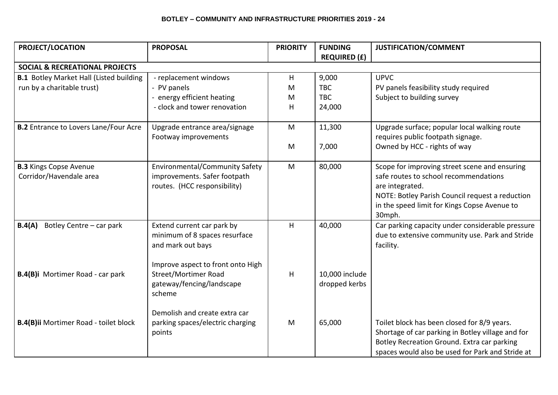| PROJECT/LOCATION                                         | <b>PROPOSAL</b>                                                                                         | <b>PRIORITY</b> | <b>FUNDING</b>                  | <b>JUSTIFICATION/COMMENT</b>                                                                                                                                                                                           |
|----------------------------------------------------------|---------------------------------------------------------------------------------------------------------|-----------------|---------------------------------|------------------------------------------------------------------------------------------------------------------------------------------------------------------------------------------------------------------------|
|                                                          |                                                                                                         |                 | <b>REQUIRED (£)</b>             |                                                                                                                                                                                                                        |
| <b>SOCIAL &amp; RECREATIONAL PROJECTS</b>                |                                                                                                         |                 |                                 |                                                                                                                                                                                                                        |
| <b>B.1</b> Botley Market Hall (Listed building           | - replacement windows                                                                                   | H               | 9,000                           | <b>UPVC</b>                                                                                                                                                                                                            |
| run by a charitable trust)                               | - PV panels                                                                                             | M               | <b>TBC</b>                      | PV panels feasibility study required                                                                                                                                                                                   |
|                                                          | - energy efficient heating                                                                              | M               | <b>TBC</b>                      | Subject to building survey                                                                                                                                                                                             |
|                                                          | - clock and tower renovation                                                                            | Н               | 24,000                          |                                                                                                                                                                                                                        |
| <b>B.2</b> Entrance to Lovers Lane/Four Acre             | Upgrade entrance area/signage<br>Footway improvements                                                   | M               | 11,300                          | Upgrade surface; popular local walking route<br>requires public footpath signage.                                                                                                                                      |
|                                                          |                                                                                                         | M               | 7,000                           | Owned by HCC - rights of way                                                                                                                                                                                           |
| <b>B.3 Kings Copse Avenue</b><br>Corridor/Havendale area | <b>Environmental/Community Safety</b><br>improvements. Safer footpath<br>routes. (HCC responsibility)   | M               | 80,000                          | Scope for improving street scene and ensuring<br>safe routes to school recommendations<br>are integrated.<br>NOTE: Botley Parish Council request a reduction<br>in the speed limit for Kings Copse Avenue to<br>30mph. |
| B.4(A)<br>Botley Centre - car park                       | Extend current car park by<br>minimum of 8 spaces resurface<br>and mark out bays                        | H               | 40,000                          | Car parking capacity under considerable pressure<br>due to extensive community use. Park and Stride<br>facility.                                                                                                       |
| B.4(B)i Mortimer Road - car park                         | Improve aspect to front onto High<br><b>Street/Mortimer Road</b><br>gateway/fencing/landscape<br>scheme | H               | 10,000 include<br>dropped kerbs |                                                                                                                                                                                                                        |
| <b>B.4(B)ii Mortimer Road - toilet block</b>             | Demolish and create extra car<br>parking spaces/electric charging<br>points                             | M               | 65,000                          | Toilet block has been closed for 8/9 years.<br>Shortage of car parking in Botley village and for<br>Botley Recreation Ground. Extra car parking<br>spaces would also be used for Park and Stride at                    |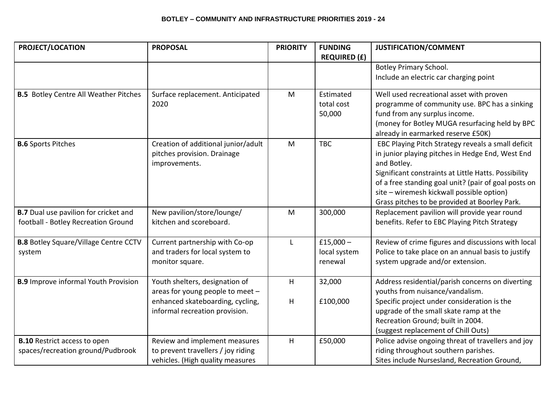## **BOTLEY – COMMUNITY AND INFRASTRUCTURE PRIORITIES 2019 - 24**

| PROJECT/LOCATION                                                                    | <b>PROPOSAL</b>                                                                                                                          | <b>PRIORITY</b> | <b>FUNDING</b><br><b>REQUIRED (£)</b>  | <b>JUSTIFICATION/COMMENT</b>                                                                                                                                                                                                                                                                                                        |
|-------------------------------------------------------------------------------------|------------------------------------------------------------------------------------------------------------------------------------------|-----------------|----------------------------------------|-------------------------------------------------------------------------------------------------------------------------------------------------------------------------------------------------------------------------------------------------------------------------------------------------------------------------------------|
|                                                                                     |                                                                                                                                          |                 |                                        | <b>Botley Primary School.</b><br>Include an electric car charging point                                                                                                                                                                                                                                                             |
| <b>B.5</b> Botley Centre All Weather Pitches                                        | Surface replacement. Anticipated<br>2020                                                                                                 | M               | Estimated<br>total cost<br>50,000      | Well used recreational asset with proven<br>programme of community use. BPC has a sinking<br>fund from any surplus income.<br>(money for Botley MUGA resurfacing held by BPC<br>already in earmarked reserve £50K)                                                                                                                  |
| <b>B.6 Sports Pitches</b>                                                           | Creation of additional junior/adult<br>pitches provision. Drainage<br>improvements.                                                      | M               | <b>TBC</b>                             | EBC Playing Pitch Strategy reveals a small deficit<br>in junior playing pitches in Hedge End, West End<br>and Botley.<br>Significant constraints at Little Hatts. Possibility<br>of a free standing goal unit? (pair of goal posts on<br>site - wiremesh kickwall possible option)<br>Grass pitches to be provided at Boorley Park. |
| <b>B.7</b> Dual use pavilion for cricket and<br>football - Botley Recreation Ground | New pavilion/store/lounge/<br>kitchen and scoreboard.                                                                                    | M               | 300,000                                | Replacement pavilion will provide year round<br>benefits. Refer to EBC Playing Pitch Strategy                                                                                                                                                                                                                                       |
| <b>B.8</b> Botley Square/Village Centre CCTV<br>system                              | Current partnership with Co-op<br>and traders for local system to<br>monitor square.                                                     | L               | £15,000 $-$<br>local system<br>renewal | Review of crime figures and discussions with local<br>Police to take place on an annual basis to justify<br>system upgrade and/or extension.                                                                                                                                                                                        |
| <b>B.9</b> Improve informal Youth Provision                                         | Youth shelters, designation of<br>areas for young people to meet -<br>enhanced skateboarding, cycling,<br>informal recreation provision. | H<br>H          | 32,000<br>£100,000                     | Address residential/parish concerns on diverting<br>youths from nuisance/vandalism.<br>Specific project under consideration is the<br>upgrade of the small skate ramp at the<br>Recreation Ground; built in 2004.<br>(suggest replacement of Chill Outs)                                                                            |
| <b>B.10 Restrict access to open</b><br>spaces/recreation ground/Pudbrook            | Review and implement measures<br>to prevent travellers / joy riding<br>vehicles. (High quality measures                                  | H               | £50,000                                | Police advise ongoing threat of travellers and joy<br>riding throughout southern parishes.<br>Sites include Nursesland, Recreation Ground,                                                                                                                                                                                          |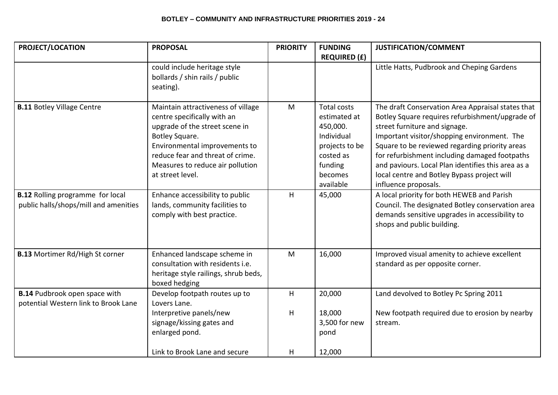## **BOTLEY – COMMUNITY AND INFRASTRUCTURE PRIORITIES 2019 - 24**

| <b>PROJECT/LOCATION</b>                                                                                               | <b>PROPOSAL</b>                                                                                                                                                                                                                                                                                                                                       | <b>PRIORITY</b> | <b>FUNDING</b>                                                                                                                           | <b>JUSTIFICATION/COMMENT</b>                                                                                                                                                                                                                                                                                                                                                                                                                                                                                                                                             |
|-----------------------------------------------------------------------------------------------------------------------|-------------------------------------------------------------------------------------------------------------------------------------------------------------------------------------------------------------------------------------------------------------------------------------------------------------------------------------------------------|-----------------|------------------------------------------------------------------------------------------------------------------------------------------|--------------------------------------------------------------------------------------------------------------------------------------------------------------------------------------------------------------------------------------------------------------------------------------------------------------------------------------------------------------------------------------------------------------------------------------------------------------------------------------------------------------------------------------------------------------------------|
|                                                                                                                       | could include heritage style<br>bollards / shin rails / public<br>seating).                                                                                                                                                                                                                                                                           |                 | <b>REQUIRED (£)</b>                                                                                                                      | Little Hatts, Pudbrook and Cheping Gardens                                                                                                                                                                                                                                                                                                                                                                                                                                                                                                                               |
| <b>B.11 Botley Village Centre</b><br><b>B.12 Rolling programme for local</b><br>public halls/shops/mill and amenities | Maintain attractiveness of village<br>centre specifically with an<br>upgrade of the street scene in<br>Botley Square.<br>Environmental improvements to<br>reduce fear and threat of crime.<br>Measures to reduce air pollution<br>at street level.<br>Enhance accessibility to public<br>lands, community facilities to<br>comply with best practice. | M<br>H          | <b>Total costs</b><br>estimated at<br>450,000.<br>Individual<br>projects to be<br>costed as<br>funding<br>becomes<br>available<br>45,000 | The draft Conservation Area Appraisal states that<br>Botley Square requires refurbishment/upgrade of<br>street furniture and signage.<br>Important visitor/shopping environment. The<br>Square to be reviewed regarding priority areas<br>for refurbishment including damaged footpaths<br>and paviours. Local Plan identifies this area as a<br>local centre and Botley Bypass project will<br>influence proposals.<br>A local priority for both HEWEB and Parish<br>Council. The designated Botley conservation area<br>demands sensitive upgrades in accessibility to |
|                                                                                                                       |                                                                                                                                                                                                                                                                                                                                                       |                 |                                                                                                                                          | shops and public building.                                                                                                                                                                                                                                                                                                                                                                                                                                                                                                                                               |
| <b>B.13 Mortimer Rd/High St corner</b>                                                                                | Enhanced landscape scheme in<br>consultation with residents i.e.<br>heritage style railings, shrub beds,<br>boxed hedging                                                                                                                                                                                                                             | M               | 16,000                                                                                                                                   | Improved visual amenity to achieve excellent<br>standard as per opposite corner.                                                                                                                                                                                                                                                                                                                                                                                                                                                                                         |
| <b>B.14 Pudbrook open space with</b><br>potential Western link to Brook Lane                                          | Develop footpath routes up to<br>Lovers Lane.                                                                                                                                                                                                                                                                                                         | H               | 20,000                                                                                                                                   | Land devolved to Botley Pc Spring 2011                                                                                                                                                                                                                                                                                                                                                                                                                                                                                                                                   |
|                                                                                                                       | Interpretive panels/new<br>signage/kissing gates and<br>enlarged pond.                                                                                                                                                                                                                                                                                | H               | 18,000<br>3,500 for new<br>pond                                                                                                          | New footpath required due to erosion by nearby<br>stream.                                                                                                                                                                                                                                                                                                                                                                                                                                                                                                                |
|                                                                                                                       | Link to Brook Lane and secure                                                                                                                                                                                                                                                                                                                         | н               | 12,000                                                                                                                                   |                                                                                                                                                                                                                                                                                                                                                                                                                                                                                                                                                                          |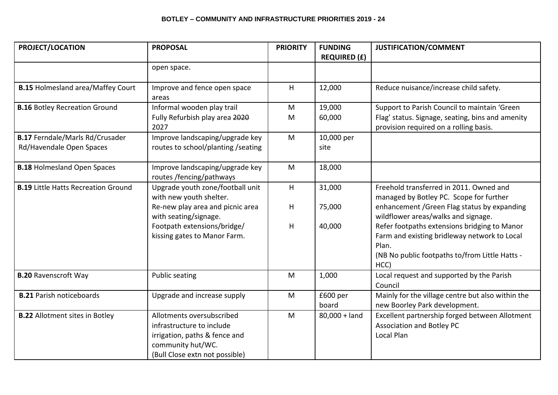| PROJECT/LOCATION                           | <b>PROPOSAL</b>                                                                                                                                | <b>PRIORITY</b> | <b>FUNDING</b><br><b>REQUIRED (£)</b> | <b>JUSTIFICATION/COMMENT</b>                                                                                                                                    |
|--------------------------------------------|------------------------------------------------------------------------------------------------------------------------------------------------|-----------------|---------------------------------------|-----------------------------------------------------------------------------------------------------------------------------------------------------------------|
|                                            | open space.                                                                                                                                    |                 |                                       |                                                                                                                                                                 |
| <b>B.15 Holmesland area/Maffey Court</b>   | Improve and fence open space<br>areas                                                                                                          | H               | 12,000                                | Reduce nuisance/increase child safety.                                                                                                                          |
| <b>B.16 Botley Recreation Ground</b>       | Informal wooden play trail                                                                                                                     | M               | 19,000                                | Support to Parish Council to maintain 'Green                                                                                                                    |
|                                            | Fully Refurbish play area 2020<br>2027                                                                                                         | M               | 60,000                                | Flag' status. Signage, seating, bins and amenity<br>provision required on a rolling basis.                                                                      |
| <b>B.17 Ferndale/Marls Rd/Crusader</b>     | Improve landscaping/upgrade key                                                                                                                | M               | 10,000 per                            |                                                                                                                                                                 |
| Rd/Havendale Open Spaces                   | routes to school/planting /seating                                                                                                             |                 | site                                  |                                                                                                                                                                 |
| <b>B.18 Holmesland Open Spaces</b>         | Improve landscaping/upgrade key<br>routes /fencing/pathways                                                                                    | M               | 18,000                                |                                                                                                                                                                 |
| <b>B.19 Little Hatts Recreation Ground</b> | Upgrade youth zone/football unit<br>with new youth shelter.                                                                                    | H               | 31,000                                | Freehold transferred in 2011. Owned and<br>managed by Botley PC. Scope for further                                                                              |
|                                            | Re-new play area and picnic area<br>with seating/signage.                                                                                      | H               | 75,000                                | enhancement / Green Flag status by expanding<br>wildflower areas/walks and signage.                                                                             |
|                                            | Footpath extensions/bridge/<br>kissing gates to Manor Farm.                                                                                    | $\sf H$         | 40,000                                | Refer footpaths extensions bridging to Manor<br>Farm and existing bridleway network to Local<br>Plan.<br>(NB No public footpaths to/from Little Hatts -<br>HCC) |
| <b>B.20 Ravenscroft Way</b>                | <b>Public seating</b>                                                                                                                          | M               | 1,000                                 | Local request and supported by the Parish<br>Council                                                                                                            |
| <b>B.21 Parish noticeboards</b>            | Upgrade and increase supply                                                                                                                    | M               | £600 per<br>board                     | Mainly for the village centre but also within the<br>new Boorley Park development.                                                                              |
| <b>B.22</b> Allotment sites in Botley      | Allotments oversubscribed<br>infrastructure to include<br>irrigation, paths & fence and<br>community hut/WC.<br>(Bull Close extn not possible) | M               | $80,000 +$ land                       | Excellent partnership forged between Allotment<br>Association and Botley PC<br>Local Plan                                                                       |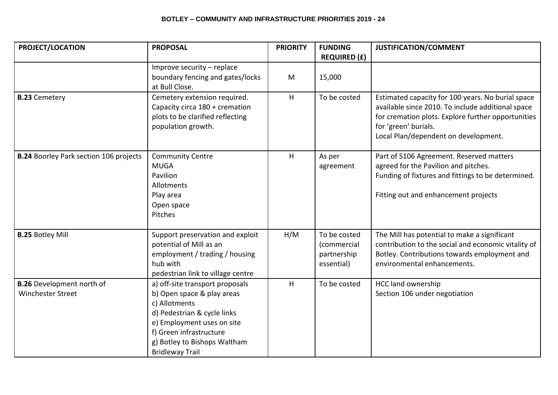| <b>PROJECT/LOCATION</b>                       | <b>PROPOSAL</b>                                                    | <b>PRIORITY</b> | <b>FUNDING</b>      | JUSTIFICATION/COMMENT                                                                                   |
|-----------------------------------------------|--------------------------------------------------------------------|-----------------|---------------------|---------------------------------------------------------------------------------------------------------|
|                                               |                                                                    |                 | <b>REQUIRED (£)</b> |                                                                                                         |
|                                               | Improve security - replace                                         |                 |                     |                                                                                                         |
|                                               | boundary fencing and gates/locks                                   | M               | 15,000              |                                                                                                         |
|                                               | at Bull Close.                                                     |                 |                     |                                                                                                         |
| <b>B.23 Cemetery</b>                          | Cemetery extension required.                                       | $\mathsf H$     | To be costed        | Estimated capacity for 100 years. No burial space                                                       |
|                                               | Capacity circa 180 + cremation<br>plots to be clarified reflecting |                 |                     | available since 2010. To include additional space<br>for cremation plots. Explore further opportunities |
|                                               | population growth.                                                 |                 |                     | for 'green' burials.                                                                                    |
|                                               |                                                                    |                 |                     | Local Plan/dependent on development.                                                                    |
|                                               |                                                                    |                 |                     |                                                                                                         |
| <b>B.24 Boorley Park section 106 projects</b> | <b>Community Centre</b>                                            | H               | As per              | Part of S106 Agreement. Reserved matters                                                                |
|                                               | <b>MUGA</b>                                                        |                 | agreement           | agreed for the Pavilion and pitches.                                                                    |
|                                               | Pavilion                                                           |                 |                     | Funding of fixtures and fittings to be determined.                                                      |
|                                               | Allotments                                                         |                 |                     |                                                                                                         |
|                                               | Play area                                                          |                 |                     | Fitting out and enhancement projects                                                                    |
|                                               | Open space                                                         |                 |                     |                                                                                                         |
|                                               | Pitches                                                            |                 |                     |                                                                                                         |
| <b>B.25 Botley Mill</b>                       | Support preservation and exploit                                   | H/M             | To be costed        | The Mill has potential to make a significant                                                            |
|                                               | potential of Mill as an                                            |                 | (commercial         | contribution to the social and economic vitality of                                                     |
|                                               | employment / trading / housing                                     |                 | partnership         | Botley. Contributions towards employment and                                                            |
|                                               | hub with                                                           |                 | essential)          | environmental enhancements.                                                                             |
|                                               | pedestrian link to village centre                                  |                 |                     |                                                                                                         |
| <b>B.26</b> Development north of              | a) off-site transport proposals                                    | H               | To be costed        | <b>HCC land ownership</b>                                                                               |
| <b>Winchester Street</b>                      | b) Open space & play areas                                         |                 |                     | Section 106 under negotiation                                                                           |
|                                               | c) Allotments                                                      |                 |                     |                                                                                                         |
|                                               | d) Pedestrian & cycle links                                        |                 |                     |                                                                                                         |
|                                               | e) Employment uses on site                                         |                 |                     |                                                                                                         |
|                                               | f) Green infrastructure                                            |                 |                     |                                                                                                         |
|                                               | g) Botley to Bishops Waltham                                       |                 |                     |                                                                                                         |
|                                               | <b>Bridleway Trail</b>                                             |                 |                     |                                                                                                         |